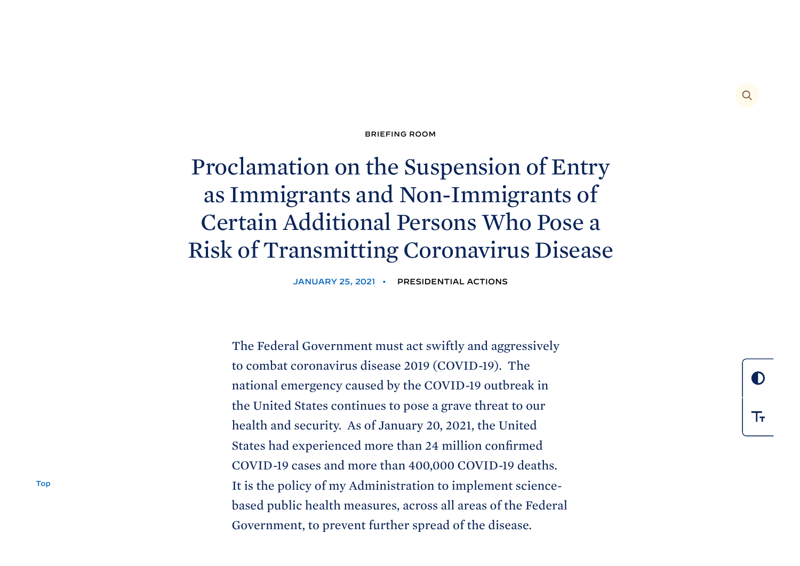## [BRIEFING](https://www.whitehouse.gov/briefing-room/) ROOM

## <span id="page-0-0"></span>Proclamation on the Suspension of Entry as Immigrants and Non-Immigrants of Certain Additional Persons Who Pose a Risk of Transmitting Coronavirus Disease

JANUARY 25, 2021 • [PRESIDENTIAL](https://www.whitehouse.gov/briefing-room/presidential-actions/) ACTIONS

The Federal Government must act swiftly and aggressively to combat coronavirus disease 2019 (COVID-19). The national emergency caused by the COVID-19 outbreak in the United States continues to pose a grave threat to our health and security. As of January 20, 2021, the United States had experienced more than 24 million confirmed COVID-19 cases and more than 400,000 COVID-19 deaths. It is the policy of my Administration to implement sciencebased public health measures, across all areas of the Federal Government, to prevent further spread of the disease.

 $\Omega$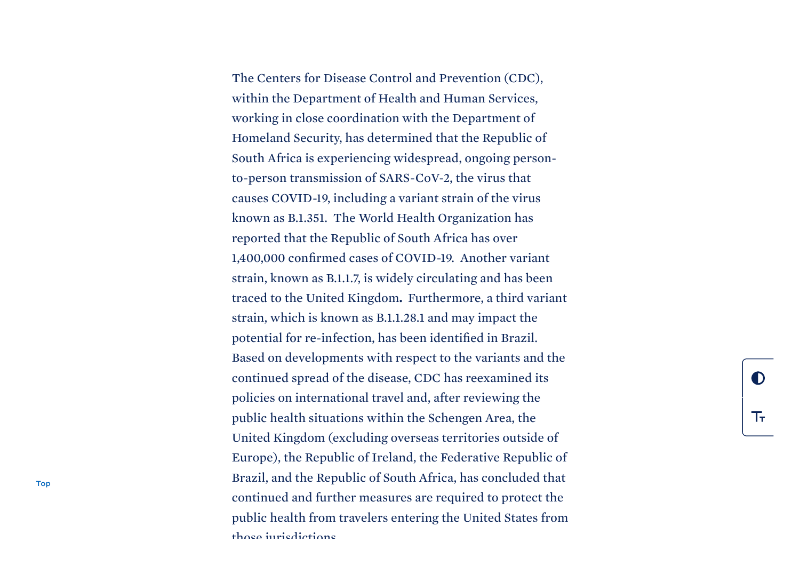The Centers for Disease Control and Prevention (CDC), within the Department of Health and Human Services, working in close coordination with the Department of Homeland Security, has determined that the Republic of South Africa is experiencing widespread, ongoing personto-person transmission of SARS-CoV-2, the virus that causes COVID-19, including a variant strain of the virus known as B.1.351. The World Health Organization has reported that the Republic of South Africa has over 1,400,000 confirmed cases of COVID-19. Another variant strain, known as B.1.1.7, is widely circulating and has been traced to the United Kingdom. Furthermore, a third variant strain, which is known as B.1.1.28.1 and may impact the potential for re-infection, has been identified in Brazil. Based on developments with respect to the variants and the continued spread of the disease, CDC has reexamined its policies on international travel and, after reviewing the public health situations within the Schengen Area, the United Kingdom (excluding overseas territories outside of Europe), the Republic of Ireland, the Federative Republic of Brazil, and the Republic of South Africa, has concluded that continued and further measures are required to protect the public health from travelers entering the United States from those jurisdictions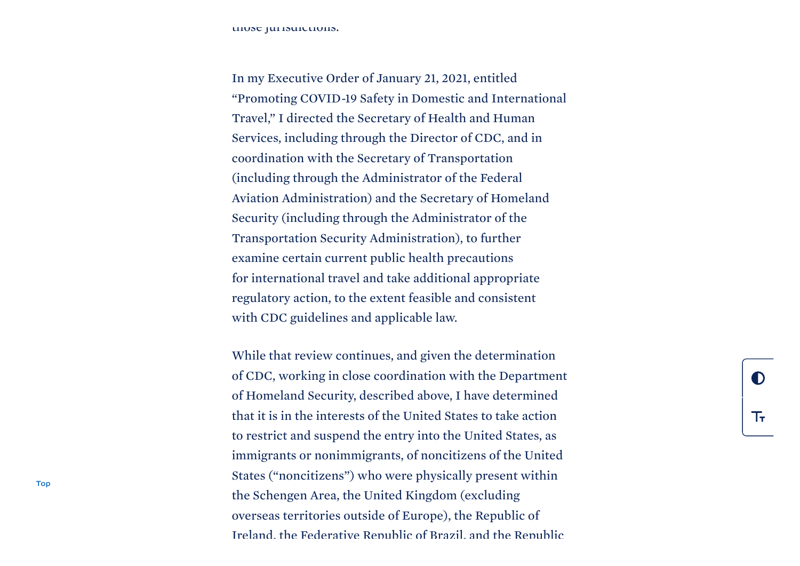those jurisdictions.

In my Executive Order of January 21, 2021, entitled "Promoting COVID-19 Safety in Domestic and International Travel," I directed the Secretary of Health and Human Services, including through the Director of CDC, and in coordination with the Secretary of Transportation (including through the Administrator of the Federal Aviation Administration) and the Secretary of Homeland Security (including through the Administrator of the Transportation Security Administration), to further examine certain current public health precautions for international travel and take additional appropriate regulatory action, to the extent feasible and consistent with CDC guidelines and applicable law.

While that review continues, and given the determination of CDC, working in close coordination with the Department of Homeland Security, described above, I have determined that it is in the interests of the United States to take action to restrict and suspend the entry into the United States, as immigrants or nonimmigrants, of noncitizens of the United States ("noncitizens") who were physically present within the Schengen Area, the United Kingdom (excluding overseas territories outside of Europe), the Republic of Ireland, the Federative Republic of Brazil, and the Republic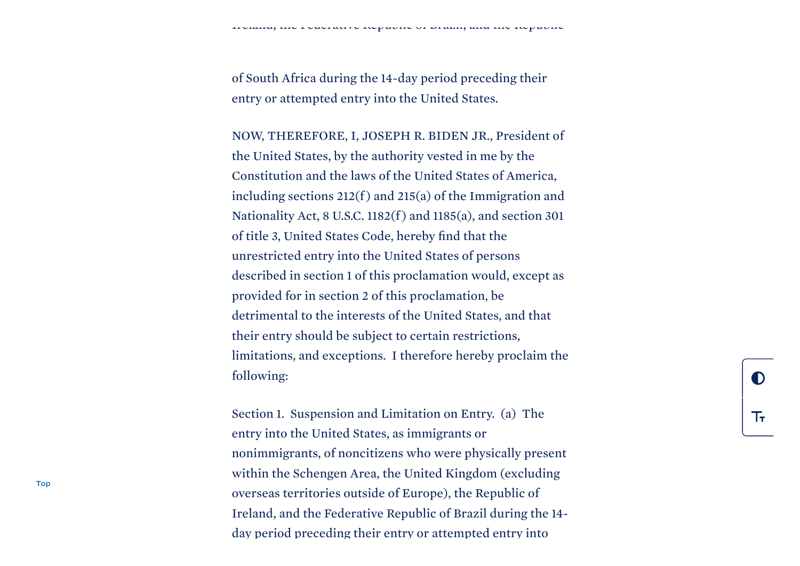of South Africa during the 14-day period preceding their entry or attempted entry into the United States.

NOW, THEREFORE, I, JOSEPH R. BIDEN JR., President of the United States, by the authority vested in me by the Constitution and the laws of the United States of America, including sections  $212(f)$  and  $215(a)$  of the Immigration and Nationality Act, 8 U.S.C. 1182(f ) and 1185(a), and section 301 of title 3, United States Code, hereby find that the unrestricted entry into the United States of persons described in section 1 of this proclamation would, except as provided for in section 2 of this proclamation, be detrimental to the interests of the United States, and that their entry should be subject to certain restrictions, limitations, and exceptions. I therefore hereby proclaim the following:

Section 1. Suspension and Limitation on Entry. (a) The entry into the United States, as immigrants or nonimmigrants, of noncitizens who were physically present within the Schengen Area, the United Kingdom (excluding overseas territories outside of Europe), the Republic of Ireland, and the Federative Republic of Brazil during the 14 day period preceding their entry or attempted entry into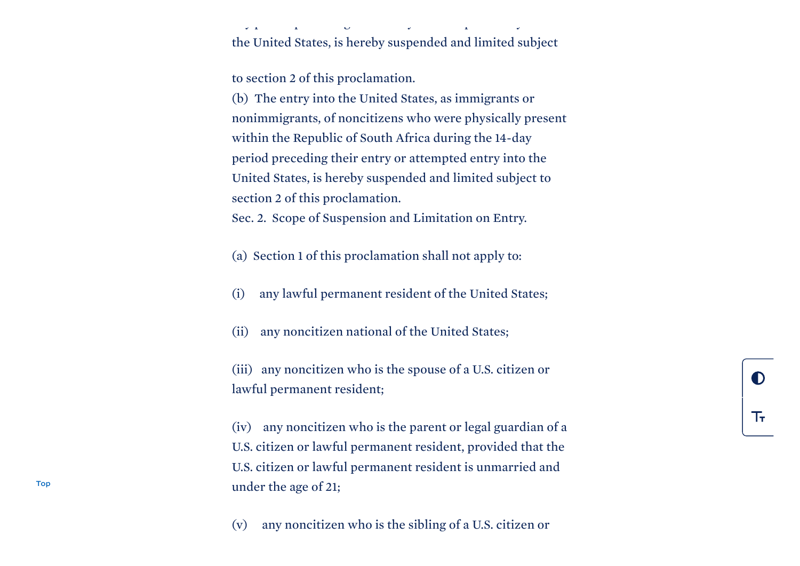the United States, is hereby suspended and limited subject

 $y = \frac{1}{2} \left( \begin{array}{ccc} y & y \\ y & y \end{array} \right)$ 

to section 2 of this proclamation.

(b) The entry into the United States, as immigrants or nonimmigrants, of noncitizens who were physically present within the Republic of South Africa during the 14-day period preceding their entry or attempted entry into the United States, is hereby suspended and limited subject to section 2 of this proclamation.

Sec. 2. Scope of Suspension and Limitation on Entry.

- (a) Section 1 of this proclamation shall not apply to:
- (i) any lawful permanent resident of the United States;
- (ii) any noncitizen national of the United States;
- (iii) any noncitizen who is the spouse of a U.S. citizen or lawful permanent resident;
- (iv) any noncitizen who is the parent or legal guardian of a U.S. citizen or lawful permanent resident, provided that the U.S. citizen or lawful permanent resident is unmarried and under the age of 21;
- (v) any noncitizen who is the sibling of a U.S. citizen or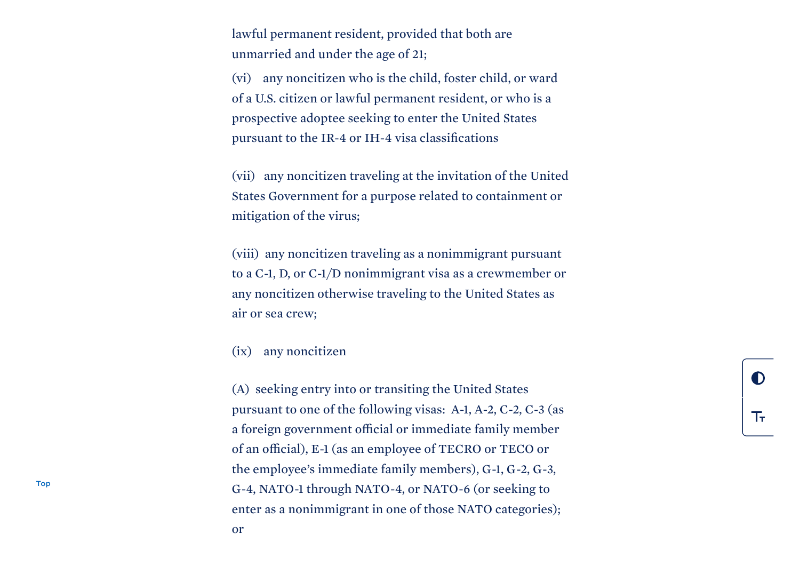lawful permanent resident, provided that both are unmarried and under the age of 21;

(vi) any noncitizen who is the child, foster child, or ward of a U.S. citizen or lawful permanent resident, or who is a prospective adoptee seeking to enter the United States pursuant to the IR-4 or IH-4 visa classifications

(vii) any noncitizen traveling at the invitation of the United States Government for a purpose related to containment or mitigation of the virus;

(viii) any noncitizen traveling as a nonimmigrant pursuant to a C-1, D, or C-1/D nonimmigrant visa as a crewmember or any noncitizen otherwise traveling to the United States as air or sea crew;

(ix) any noncitizen

(A) seeking entry into or transiting the United States pursuant to one of the following visas: A-1, A-2, C-2, C-3 (as a foreign government official or immediate family member of an official), E-1 (as an employee of TECRO or TECO or the employee's immediate family members), G-1, G-2, G-3, G-4, NATO-1 through NATO-4, or NATO-6 (or seeking to enter as a nonimmigrant in one of those NATO categories);

[Top](#page-0-0)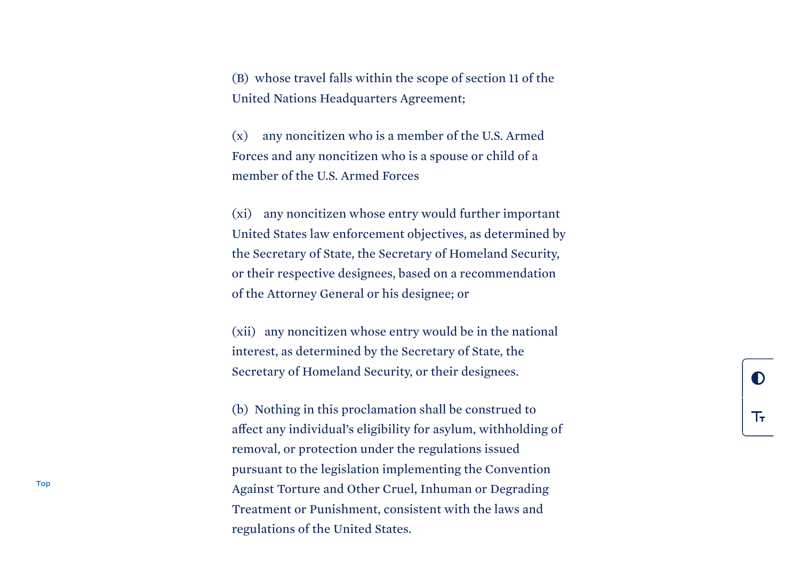(B) whose travel falls within the scope of section 11 of the United Nations Headquarters Agreement;

(x) any noncitizen who is a member of the U.S. Armed Forces and any noncitizen who is a spouse or child of a member of the U.S. Armed Forces

(xi) any noncitizen whose entry would further important United States law enforcement objectives, as determined by the Secretary of State, the Secretary of Homeland Security, or their respective designees, based on a recommendation of the Attorney General or his designee; or

(xii) any noncitizen whose entry would be in the national interest, as determined by the Secretary of State, the Secretary of Homeland Security, or their designees.

(b) Nothing in this proclamation shall be construed to affect any individual's eligibility for asylum, withholding of removal, or protection under the regulations issued pursuant to the legislation implementing the Convention Against Torture and Other Cruel, Inhuman or Degrading Treatment or Punishment, consistent with the laws and regulations of the United States.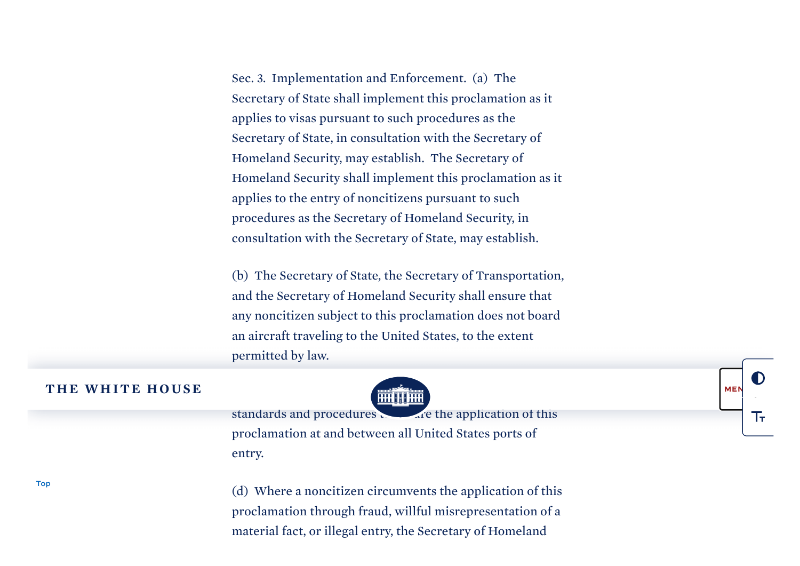Sec. 3. Implementation and Enforcement. (a) The Secretary of State shall implement this proclamation as it applies to visas pursuant to such procedures as the Secretary of State, in consultation with the Secretary of Homeland Security, may establish. The Secretary of Homeland Security shall implement this proclamation as it applies to the entry of noncitizens pursuant to such procedures as the Secretary of Homeland Security, in consultation with the Secretary of State, may establish.

(b) The Secretary of State, the Secretary of Transportation, and the Secretary of Homeland Security shall ensure that any noncitizen subject to this proclamation does not board an aircraft traveling to the United States, to the extent p e r m i t t e d b y l aw.

## THE [W](https://www.whitehouse.gov/)HITE HOUSE



M E N

下

standards and procedures proclamation at and between all United States ports of entry.

(d) Where a noncitizen circumvents the application of this proclamation through fraud, willful misrepresentation of a material fact, or illegal entry, the Secretary of Homeland

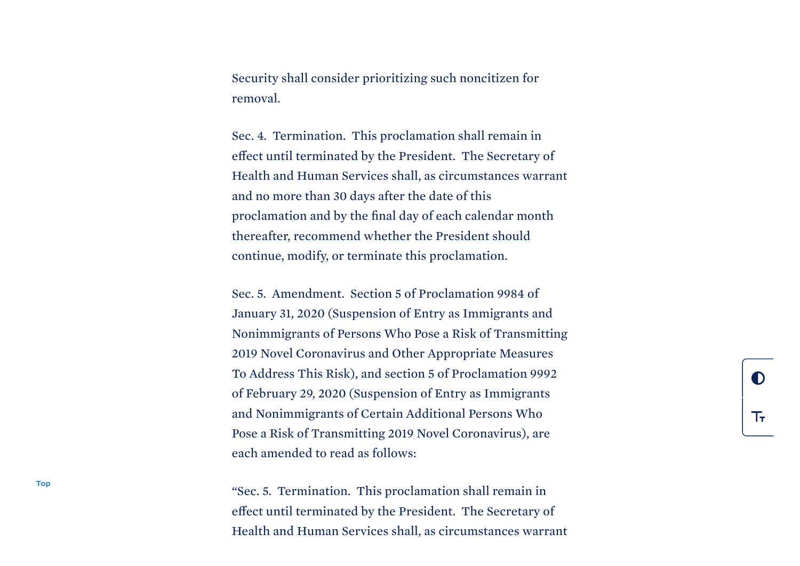Security shall consider prioritizing such noncitizen for removal.

Sec. 4. Termination. This proclamation shall remain in effect until terminated by the President. The Secretary of Health and Human Services shall, as circumstances warrant and no more than 30 days after the date of this proclamation and by the final day of each calendar month thereafter, recommend whether the President should continue, modify, or terminate this proclamation.

Sec. 5. Amendment. Section 5 of Proclamation 9984 of January 31, 2020 (Suspension of Entry as Immigrants and Nonimmigrants of Persons Who Pose a Risk of Transmitting 2019 Novel Coronavirus and Other Appropriate Measures To Address This Risk), and section 5 of Proclamation 9992 of February 29, 2020 (Suspension of Entry as Immigrants and Nonimmigrants of Certain Additional Persons Who Pose a Risk of Transmitting 2019 Novel Coronavirus), are each amended to read as follows:

"Sec. 5. Termination. This proclamation shall remain in effect until terminated by the President. The Secretary of Health and Human Services shall, as circumstances warrant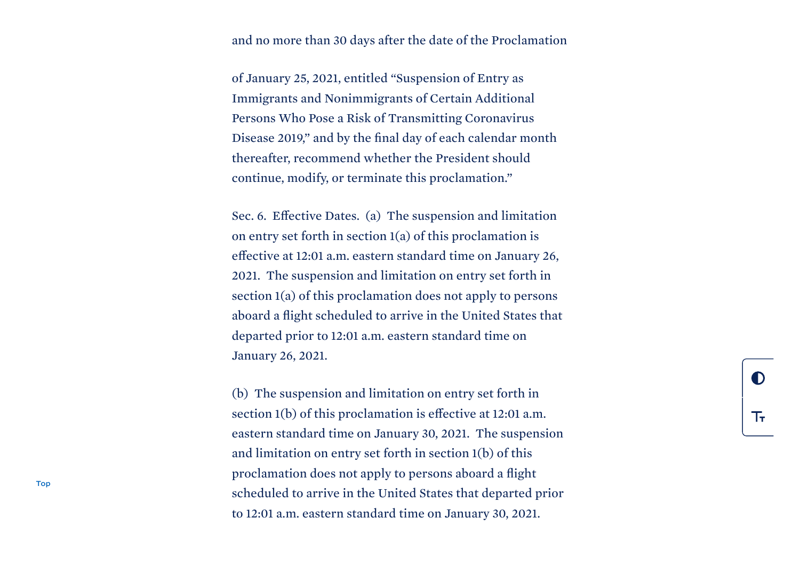## and no more than 30 days after the date of the Proclamation

of January 25, 2021, entitled "Suspension of Entry as Immigrants and Nonimmigrants of Certain Additional Persons Who Pose a Risk of Transmitting Coronavirus Disease 2019," and by the final day of each calendar month thereafter, recommend whether the President should continue, modify, or terminate this proclamation."

Sec. 6. Effective Dates. (a) The suspension and limitation on entry set forth in section 1(a) of this proclamation is effective at 12:01 a.m. eastern standard time on January 26, 2021. The suspension and limitation on entry set forth in section 1(a) of this proclamation does not apply to persons aboard a flight scheduled to arrive in the United States that departed prior to 12:01 a.m. eastern standard time on January 26, 2021.

(b) The suspension and limitation on entry set forth in section 1(b) of this proclamation is effective at 12:01 a.m. eastern standard time on January 30, 2021. The suspension and limitation on entry set forth in section 1(b) of this proclamation does not apply to persons aboard a flight scheduled to arrive in the United States that departed prior to 12:01 a.m. eastern standard time on January 30, 2021.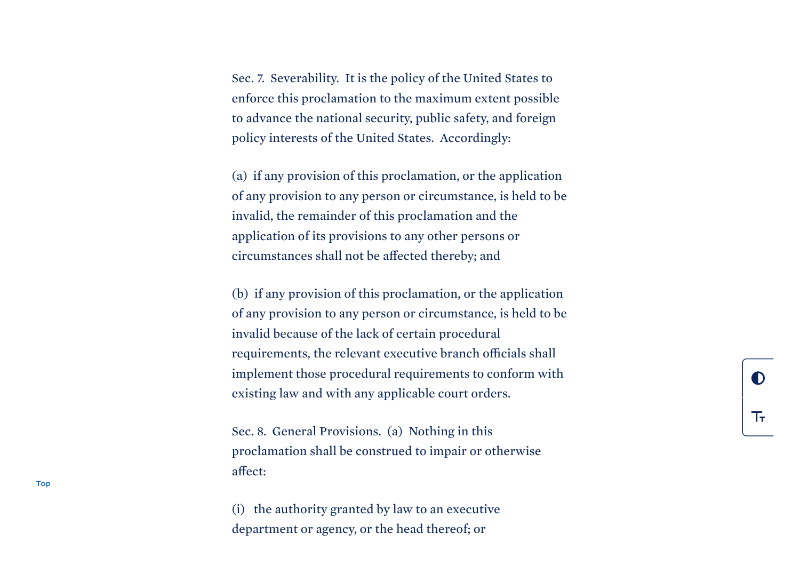Sec. 7. Severability. It is the policy of the United States to enforce this proclamation to the maximum extent possible to advance the national security, public safety, and foreign policy interests of the United States. Accordingly:

(a) if any provision of this proclamation, or the application of any provision to any person or circumstance, is held to be invalid, the remainder of this proclamation and the application of its provisions to any other persons or circumstances shall not be affected thereby; and

(b) if any provision of this proclamation, or the application of any provision to any person or circumstance, is held to be invalid because of the lack of certain procedural requirements, the relevant executive branch officials shall implement those procedural requirements to conform with existing law and with any applicable court orders.

Sec. 8. General Provisions. (a) Nothing in this proclamation shall be construed to impair or otherwise affect:

(i) the authority granted by law to an executive department or agency, or the head thereof; or